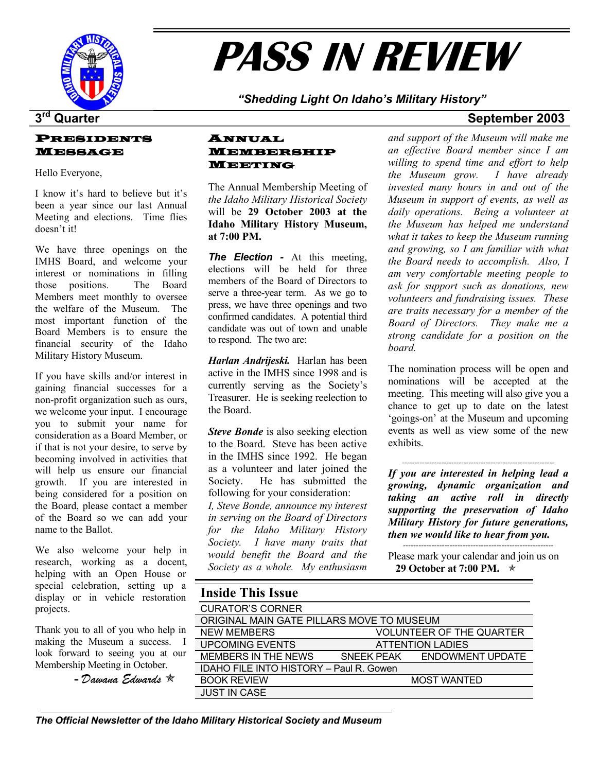

# **PASS IN REVIEW**

*"Shedding Light On Idaho's Military History"* 

#### PRESIDENTS MESSAGE

I know it's hard to believe but it's been a year since our last Annual Meeting and elections. Time flies doesn't it!

We have three openings on the IMHS Board, and welcome your interest or nominations in filling those positions. The Board Members meet monthly to oversee the welfare of the Museum. The most important function of the Board Members is to ensure the financial security of the Idaho Military History Museum.

If you have skills and/or interest in gaining financial successes for a non-profit organization such as ours, we welcome your input. I encourage you to submit your name for consideration as a Board Member, or if that is not your desire, to serve by becoming involved in activities that will help us ensure our financial growth. If you are interested in being considered for a position on the Board, please contact a member of the Board so we can add your name to the Ballot.

We also welcome your help in research, working as a docent, helping with an Open House or special celebration, setting up a display or in vehicle restoration projects.

Thank you to all of you who help in making the Museum a success. I look forward to seeing you at our Membership Meeting in October.

**-** *Dawana Edwards* Õ

### ANNUAL MEMBERSHIP MEETING Hello Everyone,

The Annual Membership Meeting of *the Idaho Military Historical Society* will be **29 October 2003 at the Idaho Military History Museum, at 7:00 PM.** 

*The Election -* At this meeting, elections will be held for three members of the Board of Directors to serve a three-year term. As we go to press, we have three openings and two confirmed candidates. A potential third candidate was out of town and unable to respond. The two are:

*Harlan Andrijeski.* Harlan has been active in the IMHS since 1998 and is currently serving as the Society's Treasurer. He is seeking reelection to the Board.

*Steve Bonde* is also seeking election to the Board. Steve has been active in the IMHS since 1992. He began as a volunteer and later joined the Society. He has submitted the following for your consideration:

*I, Steve Bonde, announce my interest in serving on the Board of Directors for the Idaho Military History Society. I have many traits that would benefit the Board and the Society as a whole. My enthusiasm* 

### **3rd Quarter September 2003**

*and support of the Museum will make me an effective Board member since I am willing to spend time and effort to help the Museum grow. I have already invested many hours in and out of the Museum in support of events, as well as daily operations. Being a volunteer at the Museum has helped me understand what it takes to keep the Museum running and growing, so I am familiar with what the Board needs to accomplish. Also, I am very comfortable meeting people to ask for support such as donations, new volunteers and fundraising issues. These are traits necessary for a member of the Board of Directors. They make me a strong candidate for a position on the board.* 

The nomination process will be open and nominations will be accepted at the meeting. This meeting will also give you a chance to get up to date on the latest 'goings-on' at the Museum and upcoming events as well as view some of the new exhibits.

-------------------------------------------------------------- *If you are interested in helping lead a growing, dynamic organization and taking an active roll in directly supporting the preservation of Idaho Military History for future generations, then we would like to hear from you.* ----------------------------------------------------------

Please mark your calendar and join us on **29 October at 7:00 PM.**  $\star$ 

| <b>Inside This Issue</b>                  |                                 |                             |  |
|-------------------------------------------|---------------------------------|-----------------------------|--|
| <b>CURATOR'S CORNER</b>                   |                                 |                             |  |
| ORIGINAL MAIN GATE PILLARS MOVE TO MUSEUM |                                 |                             |  |
| <b>NEW MEMBERS</b>                        | <b>VOLUNTEER OF THE QUARTER</b> |                             |  |
| <b>UPCOMING EVENTS</b>                    | <b>ATTENTION LADIES</b>         |                             |  |
| MEMBERS IN THE NEWS                       |                                 | SNEEK PEAK ENDOWMENT UPDATE |  |
| IDAHO FILE INTO HISTORY - Paul R. Gowen   |                                 |                             |  |
| <b>BOOK REVIEW</b>                        | <b>MOST WANTED</b>              |                             |  |
| <b>JUST IN CASE</b>                       |                                 |                             |  |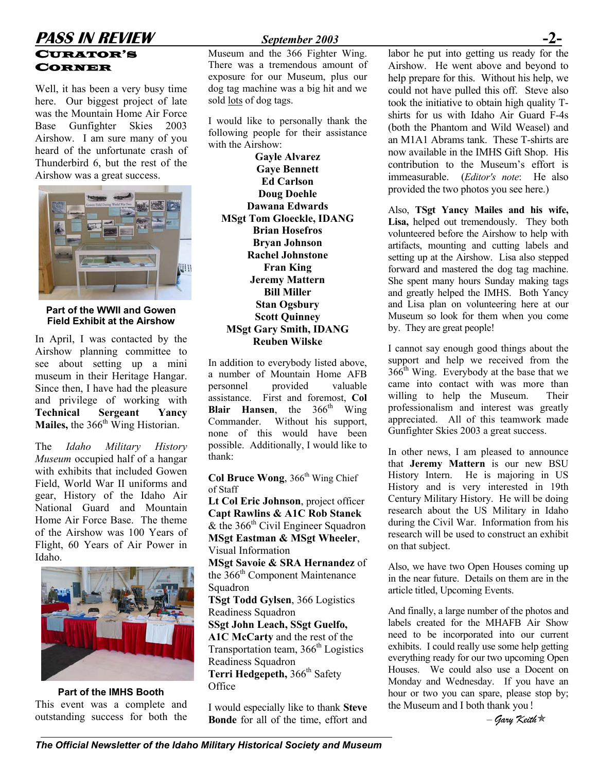### **PASS IN REVIEW** *September 2003* CURATOR'S CORNER

Well, it has been a very busy time here. Our biggest project of late was the Mountain Home Air Force Base Gunfighter Skies 2003 Airshow. I am sure many of you heard of the unfortunate crash of Thunderbird 6, but the rest of the Airshow was a great success.



**Part of the WWII and Gowen Field Exhibit at the Airshow**

In April, I was contacted by the Airshow planning committee to see about setting up a mini museum in their Heritage Hangar. Since then, I have had the pleasure and privilege of working with **Technical Sergeant Yancy Mailes, the 366<sup>th</sup>** Wing Historian.

The *Idaho Military History Museum* occupied half of a hangar with exhibits that included Gowen Field, World War II uniforms and gear, History of the Idaho Air National Guard and Mountain Home Air Force Base. The theme of the Airshow was 100 Years of Flight, 60 Years of Air Power in Idaho.



**Part of the IMHS Booth**  This event was a complete and outstanding success for both the

Museum and the 366 Fighter Wing. There was a tremendous amount of exposure for our Museum, plus our dog tag machine was a big hit and we sold lots of dog tags.

I would like to personally thank the following people for their assistance with the Airshow:

**Gayle Alvarez Gaye Bennett Ed Carlson Doug Doehle Dawana Edwards MSgt Tom Gloeckle, IDANG Brian Hosefros Bryan Johnson Rachel Johnstone Fran King Jeremy Mattern Bill Miller Stan Ogsbury Scott Quinney MSgt Gary Smith, IDANG Reuben Wilske** 

In addition to everybody listed above, a number of Mountain Home AFB personnel provided valuable assistance. First and foremost, **Col Blair Hansen**, the 366<sup>th</sup> Wing Commander. Without his support, none of this would have been possible. Additionally, I would like to thank:

**Col Bruce Wong**, 366<sup>th</sup> Wing Chief of Staff

**Lt Col Eric Johnson**, project officer **Capt Rawlins & A1C Rob Stanek** & the  $366<sup>th</sup>$  Civil Engineer Squadron **MSgt Eastman & MSgt Wheeler**, Visual Information **MSgt Savoie & SRA Hernandez** of the 366<sup>th</sup> Component Maintenance Squadron **TSgt Todd Gylsen**, 366 Logistics Readiness Squadron **SSgt John Leach, SSgt Guelfo, A1C McCarty** and the rest of the Transportation team,  $366<sup>th</sup>$  Logistics Readiness Squadron Terri Hedgepeth, 366<sup>th</sup> Safety **Office** 

I would especially like to thank **Steve Bonde** for all of the time, effort and labor he put into getting us ready for the Airshow. He went above and beyond to help prepare for this. Without his help, we could not have pulled this off. Steve also took the initiative to obtain high quality Tshirts for us with Idaho Air Guard F-4s (both the Phantom and Wild Weasel) and an M1A1 Abrams tank. These T-shirts are now available in the IMHS Gift Shop. His contribution to the Museum's effort is immeasurable. (*Editor's note*: He also provided the two photos you see here.)

Also, **TSgt Yancy Mailes and his wife, Lisa,** helped out tremendously. They both volunteered before the Airshow to help with artifacts, mounting and cutting labels and setting up at the Airshow. Lisa also stepped forward and mastered the dog tag machine. She spent many hours Sunday making tags and greatly helped the IMHS. Both Yancy and Lisa plan on volunteering here at our Museum so look for them when you come by. They are great people!

I cannot say enough good things about the support and help we received from the  $366<sup>th</sup>$  Wing. Everybody at the base that we came into contact with was more than willing to help the Museum. Their professionalism and interest was greatly appreciated. All of this teamwork made Gunfighter Skies 2003 a great success.

In other news, I am pleased to announce that **Jeremy Mattern** is our new BSU History Intern. He is majoring in US History and is very interested in 19th Century Military History. He will be doing research about the US Military in Idaho during the Civil War. Information from his research will be used to construct an exhibit on that subject.

Also, we have two Open Houses coming up in the near future. Details on them are in the article titled, Upcoming Events.

And finally, a large number of the photos and labels created for the MHAFB Air Show need to be incorporated into our current exhibits. I could really use some help getting everything ready for our two upcoming Open Houses. We could also use a Docent on Monday and Wednesday. If you have an hour or two you can spare, please stop by; the Museum and I both thank you!

– *Gary Keith*Õ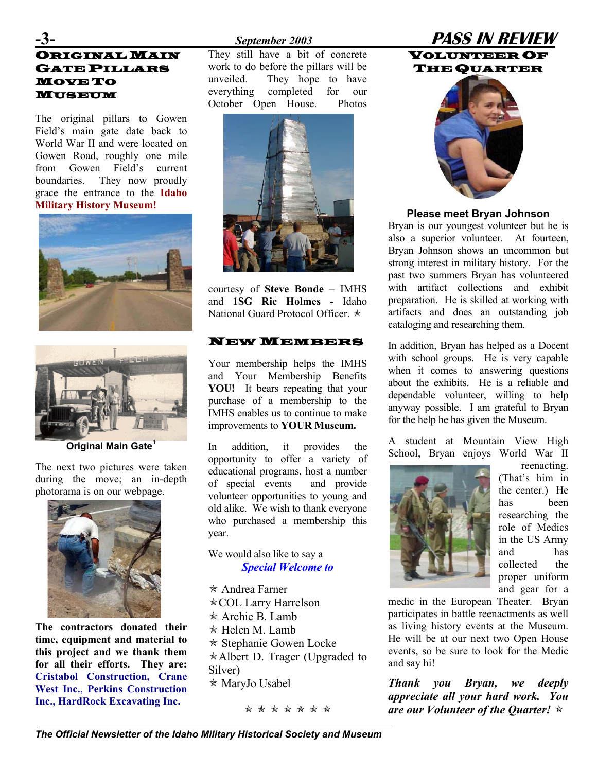# **NGINAL MAIN** GATE PILLARS MOVE TO MUSEUM

The original pillars to Gowen Field's main gate date back to World War II and were located on Gowen Road, roughly one mile from Gowen Field's current boundaries. They now proudly grace the entrance to the **Idaho** 





**Original Main Gat[e1](#page-7-0)**

The next two pictures were taken during the move; an in-depth photorama is on our webpage.



**The contractors donated their time, equipment and material to this project and we thank them for all their efforts. They are: Cristabol Construction, Crane West Inc.**, **Perkins Construction Inc., HardRock Excavating Inc.** 

They still have a bit of concrete work to do before the pillars will be unveiled. They hope to have everything completed for our October Open House. Photos



courtesy of **Steve Bonde** – IMHS and **1SG Ric Holmes** - Idaho National Guard Protocol Officer.  $\star$ 

Your membership helps the IMHS and Your Membership Benefits **YOU!** It bears repeating that your purchase of a membership to the IMHS enables us to continue to make improvements to **YOUR Museum.**

In addition, it provides the opportunity to offer a variety of educational programs, host a number of special events and provide volunteer opportunities to young and old alike. We wish to thank everyone who purchased a membership this year.

#### We would also like to say a *Special Welcome to*

 $*$  Andrea Farner \* COL Larry Harrelson  $\star$  Archie B. Lamb  $*$  Helen M. Lamb  $*$  Stephanie Gowen Locke  $*$  Albert D. Trager (Upgraded to Silver)  $*$  MaryJo Usabel

\* **\* \* \* \* \* \*** 

# **-3-** *September 2003* **PASS IN REVIEW**

VOLUNTEER OF THE QUARTER



#### **Military History Museum! Please meet Bryan Johnson**

Bryan is our youngest volunteer but he is also a superior volunteer. At fourteen, Bryan Johnson shows an uncommon but strong interest in military history. For the past two summers Bryan has volunteered with artifact collections and exhibit preparation. He is skilled at working with artifacts and does an outstanding job cataloging and researching them.

NEW MEMBERS In addition, Bryan has helped as a Docent with school groups. He is very capable when it comes to answering questions about the exhibits. He is a reliable and dependable volunteer, willing to help anyway possible. I am grateful to Bryan for the help he has given the Museum.

> A student at Mountain View High School, Bryan enjoys World War II



reenacting. (That's him in the center.) He has been researching the role of Medics in the US Army and has collected the proper uniform and gear for a

medic in the European Theater. Bryan participates in battle reenactments as well as living history events at the Museum. He will be at our next two Open House events, so be sure to look for the Medic and say hi!

*Thank you Bryan, we deeply appreciate all your hard work. You are our Volunteer of the Quarter!* Õ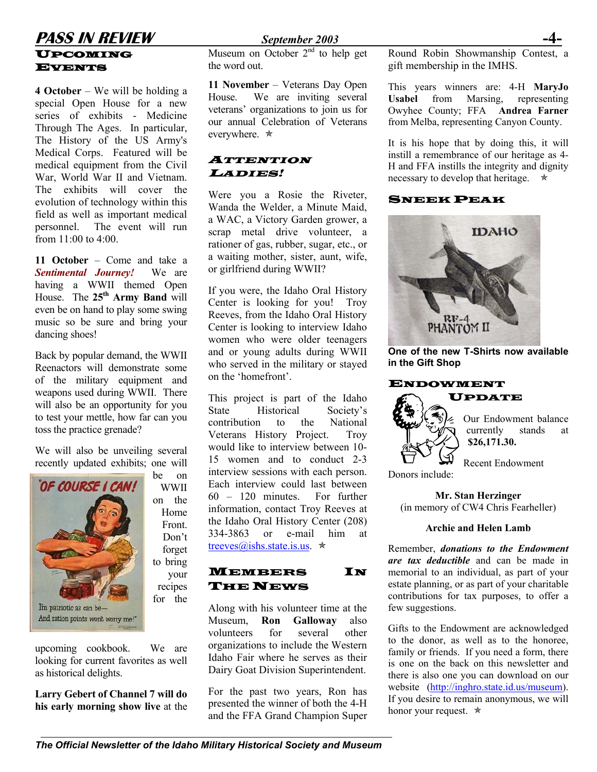### **PASS IN REVIEW** *September 2003* **-4-** UPCOMING EVENTS

**4 October** – We will be holding a special Open House for a new series of exhibits - Medicine Through The Ages. In particular, The History of the US Army's Medical Corps. Featured will be medical equipment from the Civil War, World War II and Vietnam. The exhibits will cover the evolution of technology within this field as well as important medical personnel. The event will run from  $11:00$  to  $4:00$ .

**11 October** – Come and take a *Sentimental Journey!* We are having a WWII themed Open House. The **25th Army Band** will even be on hand to play some swing music so be sure and bring your dancing shoes!

Back by popular demand, the WWII Reenactors will demonstrate some of the military equipment and weapons used during WWII. There will also be an opportunity for you to test your mettle, how far can you toss the practice grenade?

We will also be unveiling several recently updated exhibits; one will

WWII

Home Front. Don't forget

your recipes



upcoming cookbook. We are looking for current favorites as well as historical delights.

**Larry Gebert of Channel 7 will do his early morning show live** at the

Museum on October  $2<sup>nd</sup>$  to help get the word out.

**11 November** – Veterans Day Open House. We are inviting several veterans' organizations to join us for our annual Celebration of Veterans everywhere.  $\star$ 

### ATTENTION LADIES!

Were you a Rosie the Riveter, Wanda the Welder, a Minute Maid, a WAC, a Victory Garden grower, a scrap metal drive volunteer, a rationer of gas, rubber, sugar, etc., or a waiting mother, sister, aunt, wife, or girlfriend during WWII?

If you were, the Idaho Oral History Center is looking for you! Troy Reeves, from the Idaho Oral History Center is looking to interview Idaho women who were older teenagers and or young adults during WWII who served in the military or stayed on the 'homefront'.

This project is part of the Idaho State Historical Society's contribution to the National Veterans History Project. Troy would like to interview between 10- 15 women and to conduct 2-3 interview sessions with each person. Each interview could last between 60 – 120 minutes. For further information, contact Troy Reeves at the Idaho Oral History Center (208) 334-3863 or e-mail him at [treeves@ishs.state.is.us.](mailto:treeves@ishs.state.is.us)  $\star$ 

### MEMBERS IN **THE NEWS**

Along with his volunteer time at the Museum, **Ron Galloway** also volunteers for several other organizations to include the Western Idaho Fair where he serves as their Dairy Goat Division Superintendent.

For the past two years, Ron has presented the winner of both the 4-H and the FFA Grand Champion Super Round Robin Showmanship Contest, a gift membership in the IMHS.

This years winners are: 4-H **MaryJo Usabel** from Marsing, representing Owyhee County; FFA **Andrea Farner**  from Melba, representing Canyon County.

It is his hope that by doing this, it will instill a remembrance of our heritage as 4- H and FFA instills the integrity and dignity necessary to develop that heritage.  $\star$ 

### SNEEK PEAK



**One of the new T-Shirts now available in the Gift Shop** 

### ENDOWMENT



Our Endowment balance currently stands at **\$26,171.30.**

Recent Endowment

Donors include:

**Mr. Stan Herzinger**  (in memory of CW4 Chris Fearheller)

#### **Archie and Helen Lamb**

Remember, *donations to the Endowment are tax deductible* and can be made in memorial to an individual, as part of your estate planning, or as part of your charitable contributions for tax purposes, to offer a few suggestions.

Gifts to the Endowment are acknowledged to the donor, as well as to the honoree, family or friends. If you need a form, there is one on the back on this newsletter and there is also one you can download on our website [\(http://inghro.state.id.us/museum](http://inghro.state.id.us/museum)). If you desire to remain anonymous, we will honor your request.  $\star$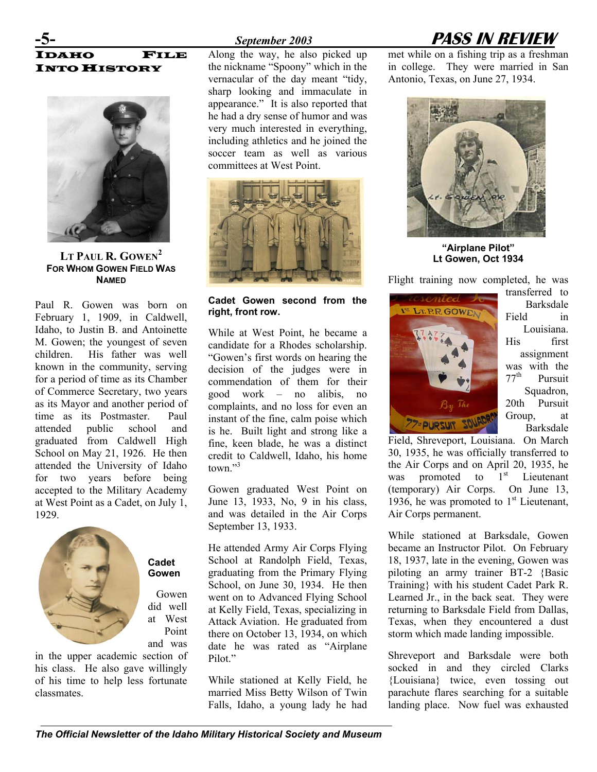# FILE **INTO HISTORY**



**LT PAUL R. GOWEN[2](#page-7-1) FOR WHOM GOWEN FIELD WAS NAMED**

Paul R. Gowen was born on February 1, 1909, in Caldwell, Idaho, to Justin B. and Antoinette M. Gowen; the youngest of seven children. His father was well known in the community, serving for a period of time as its Chamber of Commerce Secretary, two years as its Mayor and another period of time as its Postmaster. Paul attended public school and graduated from Caldwell High School on May 21, 1926. He then attended the University of Idaho for two years before being accepted to the Military Academy at West Point as a Cadet, on July 1, 1929.



**Cadet Gowen**

Gowen did well at West Point and was

in the upper academic section of his class. He also gave willingly of his time to help less fortunate classmates.

Along the way, he also picked up the nickname "Spoony" which in the vernacular of the day meant "tidy, sharp looking and immaculate in appearance." It is also reported that he had a dry sense of humor and was very much interested in everything, including athletics and he joined the soccer team as well as various committees at West Point.



#### **Cadet Gowen second from the right, front row.**

While at West Point, he became a candidate for a Rhodes scholarship. "Gowen's first words on hearing the decision of the judges were in commendation of them for their good work – no alibis, no complaints, and no loss for even an instant of the fine, calm poise which is he. Built light and strong like a fine, keen blade, he was a distinct credit to Caldwell, Idaho, his home town."<sup>[3](#page-7-2)</sup>

Gowen graduated West Point on June 13, 1933, No, 9 in his class, and was detailed in the Air Corps September 13, 1933.

He attended Army Air Corps Flying School at Randolph Field, Texas, graduating from the Primary Flying School, on June 30, 1934. He then went on to Advanced Flying School at Kelly Field, Texas, specializing in Attack Aviation. He graduated from there on October 13, 1934, on which date he was rated as "Airplane Pilot."

While stationed at Kelly Field, he married Miss Betty Wilson of Twin Falls, Idaho, a young lady he had

# **-5-** *September 2003* **PASS IN REVIEW**

met while on a fishing trip as a freshman in college. They were married in San Antonio, Texas, on June 27, 1934.



**"Airplane Pilot" Lt Gowen, Oct 1934** 

Flight training now completed, he was



transferred to Barksdale Field in Louisiana. His first assignment was with the  $77<sup>th</sup>$  Pursuit Pursuit Squadron, 20th Pursuit Group, at Barksdale

Field, Shreveport, Louisiana. On March 30, 1935, he was officially transferred to the Air Corps and on April 20, 1935, he was promoted to  $1<sup>st</sup>$  Lieutenant (temporary) Air Corps. On June 13, 1936, he was promoted to  $1<sup>st</sup>$  Lieutenant, Air Corps permanent.

While stationed at Barksdale, Gowen became an Instructor Pilot. On February 18, 1937, late in the evening, Gowen was piloting an army trainer BT-2 {Basic Training} with his student Cadet Park R. Learned Jr., in the back seat. They were returning to Barksdale Field from Dallas, Texas, when they encountered a dust storm which made landing impossible.

Shreveport and Barksdale were both socked in and they circled Clarks {Louisiana} twice, even tossing out parachute flares searching for a suitable landing place. Now fuel was exhausted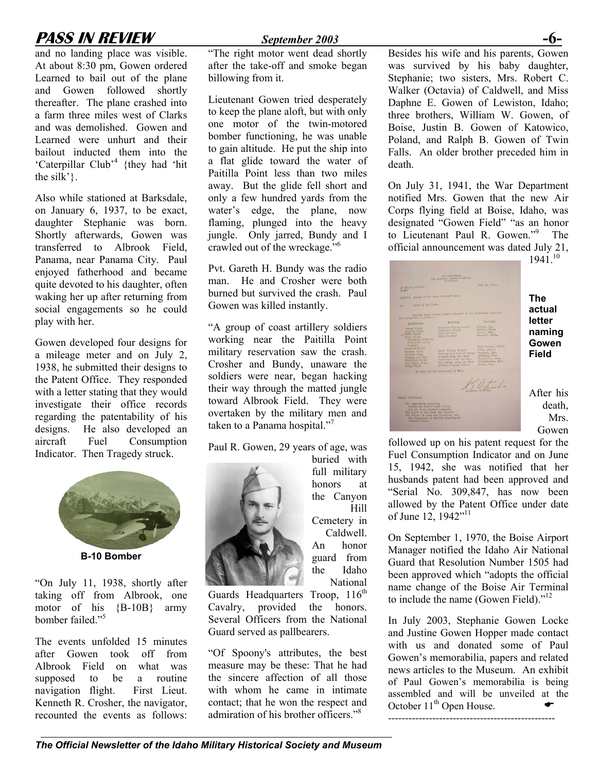# **PASS IN REVIEW** *September 2003* **-6-**

and no landing place was visible. At about 8:30 pm, Gowen ordered Learned to bail out of the plane and Gowen followed shortly thereafter. The plane crashed into a farm three miles west of Clarks and was demolished. Gowen and Learned were unhurt and their bailout inducted them into the 'Caterpillar Club<sup>,4</sup> {they had 'hit the silk' $\}$ .

Also while stationed at Barksdale, on January 6, 1937, to be exact, daughter Stephanie was born. Shortly afterwards, Gowen was transferred to Albrook Field, Panama, near Panama City. Paul enjoyed fatherhood and became quite devoted to his daughter, often waking her up after returning from social engagements so he could play with her.

Gowen developed four designs for a mileage meter and on July 2, 1938, he submitted their designs to the Patent Office. They responded with a letter stating that they would investigate their office records regarding the patentability of his designs. He also developed an aircraft Fuel Consumption Indicator. Then Tragedy struck.



**B-10 Bomber**

"On July 11, 1938, shortly after taking off from Albrook, one motor of his {B-10B} army bomber failed." 5

The events unfolded 15 minutes after Gowen took off from Albrook Field on what was supposed to be a routine navigation flight. First Lieut. Kenneth R. Crosher, the navigator, recounted the events as follows:

"The right motor went dead shortly after the take-off and smoke began billowing from it.

Lieutenant Gowen tried desperately to keep the plane aloft, but with only one motor of the twin-motored bomber functioning, he was unable to gain altitude. He put the ship into a flat glide toward the water of Paitilla Point less than two miles away. But the glide fell short and only a few hundred yards from the water's edge, the plane, now flaming, plunged into the heavy jungle. Only jarred, Bundy and I crawled out of the wreckage."[6](#page-7-5)

Pvt. Gareth H. Bundy was the radio man. He and Crosher were both burned but survived the crash. Paul Gowen was killed instantly.

"A group of coast artillery soldiers working near the Paitilla Point military reservation saw the crash. Crosher and Bundy, unaware the soldiers were near, began hacking their way through the matted jungle toward Albrook Field. They were overtaken by the military men and taken to a Panama hospital."<sup>7</sup>

Paul R. Gowen, 29 years of age, was



Cemetery in Caldwell. An honor guard from the Idaho National Guards Headquarters Troop,  $116<sup>th</sup>$ 

buried with full military honors at the Canyon

Hill

Cavalry, provided the honors. Several Officers from the National Guard served as pallbearers.

"Of Spoony's attributes, the best measure may be these: That he had the sincere affection of all those with whom he came in intimate contact; that he won the respect and admirationof his brother officers."<sup>8</sup>

Besides his wife and his parents, Gowen was survived by his baby daughter, Stephanie; two sisters, Mrs. Robert C. Walker (Octavia) of Caldwell, and Miss Daphne E. Gowen of Lewiston, Idaho; three brothers, William W. Gowen, of Boise, Justin B. Gowen of Katowico, Poland, and Ralph B. Gowen of Twin Falls. An older brother preceded him in death.

On July 31, 1941, the War Department notified Mrs. Gowen that the new Air Corps flying field at Boise, Idaho, was designated "Gowen Field" "as an honor to Lieutenant Paul R. Gowen."[9](#page-7-8) The official announcement was dated July 21, 1941. [10](#page-7-9)



**The actual letter naming Gowen Field** 

After his death, Mrs. Gowen

followed up on his patent request for the Fuel Consumption Indicator and on June 15, 1942, she was notified that her husbands patent had been approved and "Serial No. 309,847, has now been allowed by the Patent Office under date of June 12, 1942"<sup>11</sup>

On September 1, 1970, the Boise Airport Manager notified the Idaho Air National Guard that Resolution Number 1505 had been approved which "adopts the official name change of the Boise Air Terminal to include the name (Gowen Field).["](#page-7-11)<sup>12</sup>

In July 2003, Stephanie Gowen Locke and Justine Gowen Hopper made contact with us and donated some of Paul Gowen's memorabilia, papers and related news articles to the Museum. An exhibit of Paul Gowen's memorabilia is being assembled and will be unveiled at the October  $11<sup>th</sup>$  Open House.

-------------------------------------------------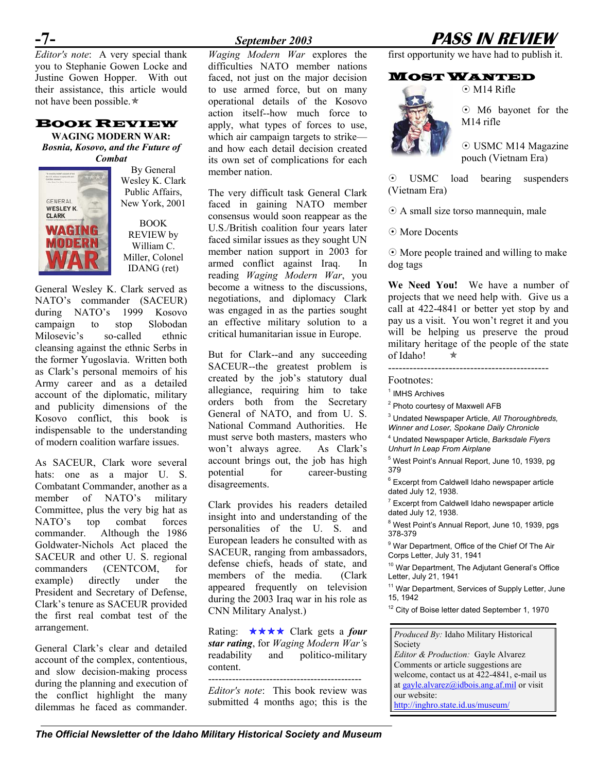*Editor's note*: A very special thank you to Stephanie Gowen Locke and Justine Gowen Hopper. With out their assistance, this article would not have been possible. $\star$ 

### BOOK REVIEW

**WAGING MODERN WAR:**  *Bosnia, Kosovo, and the Future of Combat*



By General Wesley K. Clark Public Affairs, New York, 2001

BOOK REVIEW by William C. Miller, Colonel IDANG (ret)

General Wesley K. Clark served as NATO's commander (SACEUR) during NATO's 1999 Kosovo campaign to stop Slobodan Milosevic's so-called ethnic cleansing against the ethnic Serbs in the former Yugoslavia. Written both as Clark's personal memoirs of his Army career and as a detailed account of the diplomatic, military and publicity dimensions of the Kosovo conflict, this book is indispensable to the understanding of modern coalition warfare issues.

As SACEUR, Clark wore several hats: one as a major U. S. Combatant Commander, another as a member of NATO's military Committee, plus the very big hat as NATO's top combat forces commander. Although the 1986 Goldwater-Nichols Act placed the SACEUR and other U. S. regional commanders (CENTCOM, for example) directly under the President and Secretary of Defense, Clark's tenure as SACEUR provided the first real combat test of the arrangement.

General Clark's clear and detailed account of the complex, contentious, and slow decision-making process during the planning and execution of the conflict highlight the many dilemmas he faced as commander.

*Waging Modern War* explores the difficulties NATO member nations faced, not just on the major decision to use armed force, but on many operational details of the Kosovo action itself--how much force to apply, what types of forces to use, which air campaign targets to strike and how each detail decision created its own set of complications for each member nation.

The very difficult task General Clark faced in gaining NATO member consensus would soon reappear as the U.S./British coalition four years later faced similar issues as they sought UN member nation support in 2003 for armed conflict against Iraq. In reading *Waging Modern War*, you become a witness to the discussions, negotiations, and diplomacy Clark was engaged in as the parties sought an effective military solution to a critical humanitarian issue in Europe.

But for Clark--and any succeeding SACEUR--the greatest problem is created by the job's statutory dual allegiance, requiring him to take orders both from the Secretary General of NATO, and from U. S. National Command Authorities. He must serve both masters, masters who won't always agree. As Clark's account brings out, the job has high potential for career-busting disagreements.

Clark provides his readers detailed insight into and understanding of the personalities of the U. S. and European leaders he consulted with as SACEUR, ranging from ambassadors, defense chiefs, heads of state, and members of the media. (Clark appeared frequently on television during the 2003 Iraq war in his role as CNN Military Analyst.)

Rating: **★★★★** Clark gets a *four star rating*, for *Waging Modern War'*s readability and politico-military content.

*Editor's note*: This book review was submitted 4 months ago; this is the

# **-7-** *September 2003* **PASS IN REVIEW**

 $\odot$  M14 Rifle

first opportunity we have had to publish it.

#### MOST WANTED

 M6 bayonet for the M14 rifle

 USMC M14 Magazine pouch (Vietnam Era)

 USMC load bearing suspenders (Vietnam Era)

A small size torso mannequin, male

More Docents

 $\odot$  More people trained and willing to make dog tags

**We Need You!** We have a number of projects that we need help with. Give us a call at 422-4841 or better yet stop by and pay us a visit. You won't regret it and you will be helping us preserve the proud military heritage of the people of the state of Idaho!  $\star$ 

---------------------------------------------

Footnotes:

<sup>1</sup> IMHS Archives

<sup>2</sup> Photo courtesy of Maxwell AFB

3 Undated Newspaper Article, *All Thoroughbreds, Winner and Loser, Spokane Daily Chronicle* 

4 Undated Newspaper Article, *Barksdale Flyers Unhurt In Leap From Airplane* 

<sup>5</sup> West Point's Annual Report, June 10, 1939, pg 379

<sup>6</sup> Excerpt from Caldwell Idaho newspaper article dated July 12, 1938.

 $7$  Excerpt from Caldwell Idaho newspaper article dated July 12, 1938.

<sup>8</sup> West Point's Annual Report, June 10, 1939, pgs 378-379

<sup>9</sup> War Department, Office of the Chief Of The Air Corps Letter, July 31, 1941

<sup>10</sup> War Department, The Adjutant General's Office Letter, July 21, 1941

<sup>11</sup> War Department, Services of Supply Letter, June 15, 1942

<sup>12</sup> City of Boise letter dated September 1, 1970

*Produced By:* Idaho Military Historical Society *Editor & Production:* Gayle Alvarez Comments or article suggestions are welcome, contact us at 422-4841, e-mail us at [gayle.alvarez@idbois.ang.af.mil](mailto:gayle.alvarez@idbois.ang.af.mil) or visit our website: <http://inghro.state.id.us/museum/>